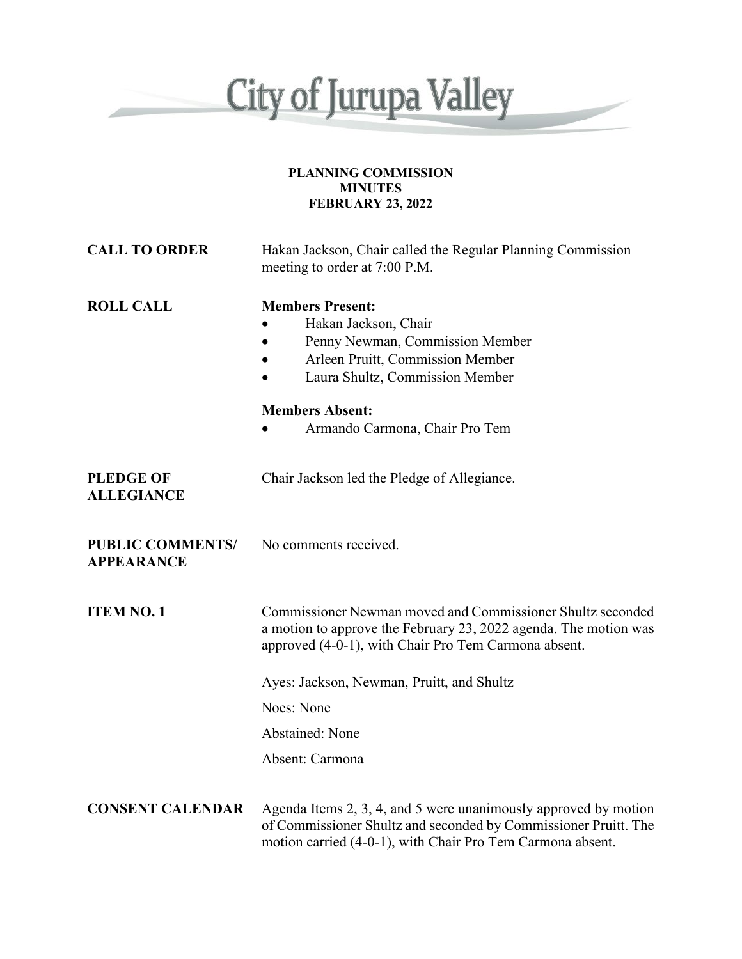

#### **PLANNING COMMISSION MINUTES FEBRUARY 23, 2022**

| <b>CALL TO ORDER</b>                         | Hakan Jackson, Chair called the Regular Planning Commission<br>meeting to order at 7:00 P.M.                                                                                                     |
|----------------------------------------------|--------------------------------------------------------------------------------------------------------------------------------------------------------------------------------------------------|
| <b>ROLL CALL</b>                             | <b>Members Present:</b><br>Hakan Jackson, Chair<br>Penny Newman, Commission Member<br>Arleen Pruitt, Commission Member<br>Laura Shultz, Commission Member                                        |
|                                              | <b>Members Absent:</b><br>Armando Carmona, Chair Pro Tem                                                                                                                                         |
| <b>PLEDGE OF</b><br><b>ALLEGIANCE</b>        | Chair Jackson led the Pledge of Allegiance.                                                                                                                                                      |
| <b>PUBLIC COMMENTS/</b><br><b>APPEARANCE</b> | No comments received.                                                                                                                                                                            |
| <b>ITEM NO. 1</b>                            | Commissioner Newman moved and Commissioner Shultz seconded<br>a motion to approve the February 23, 2022 agenda. The motion was<br>approved (4-0-1), with Chair Pro Tem Carmona absent.           |
|                                              | Ayes: Jackson, Newman, Pruitt, and Shultz                                                                                                                                                        |
|                                              | Noes: None                                                                                                                                                                                       |
|                                              | <b>Abstained: None</b>                                                                                                                                                                           |
|                                              | Absent: Carmona                                                                                                                                                                                  |
| <b>CONSENT CALENDAR</b>                      | Agenda Items 2, 3, 4, and 5 were unanimously approved by motion<br>of Commissioner Shultz and seconded by Commissioner Pruitt. The<br>motion carried (4-0-1), with Chair Pro Tem Carmona absent. |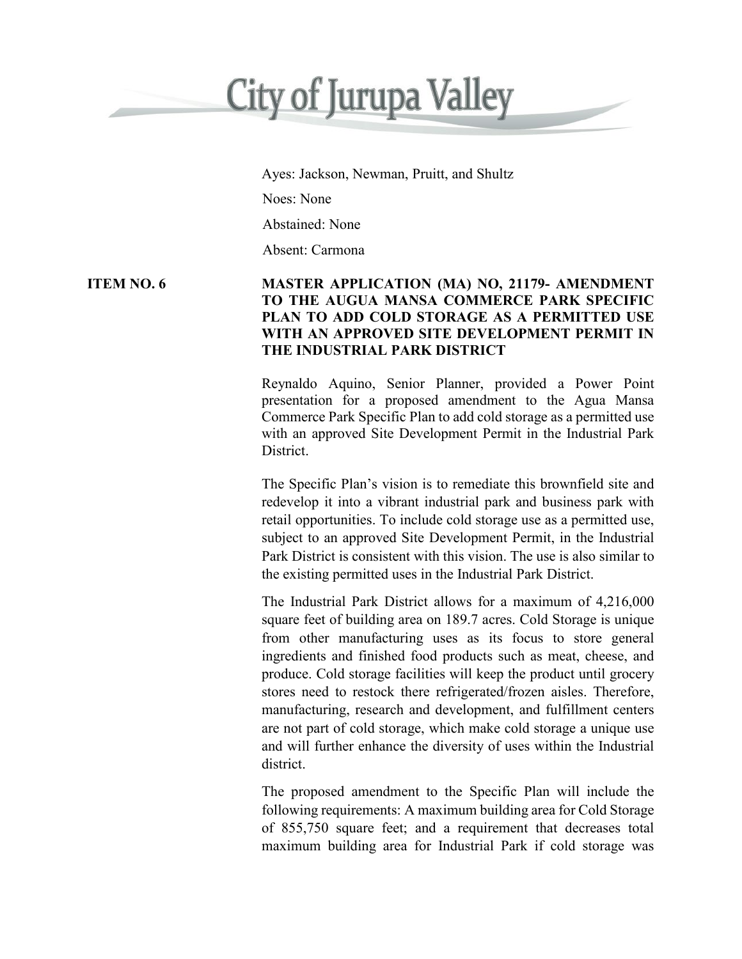# **City of Jurupa Valley**

Ayes: Jackson, Newman, Pruitt, and Shultz

Noes: None

Abstained: None

Absent: Carmona

### **ITEM NO. 6 MASTER APPLICATION (MA) NO, 21179- AMENDMENT TO THE AUGUA MANSA COMMERCE PARK SPECIFIC PLAN TO ADD COLD STORAGE AS A PERMITTED USE WITH AN APPROVED SITE DEVELOPMENT PERMIT IN THE INDUSTRIAL PARK DISTRICT**

Reynaldo Aquino, Senior Planner, provided a Power Point presentation for a proposed amendment to the Agua Mansa Commerce Park Specific Plan to add cold storage as a permitted use with an approved Site Development Permit in the Industrial Park District.

The Specific Plan's vision is to remediate this brownfield site and redevelop it into a vibrant industrial park and business park with retail opportunities. To include cold storage use as a permitted use, subject to an approved Site Development Permit, in the Industrial Park District is consistent with this vision. The use is also similar to the existing permitted uses in the Industrial Park District.

The Industrial Park District allows for a maximum of 4,216,000 square feet of building area on 189.7 acres. Cold Storage is unique from other manufacturing uses as its focus to store general ingredients and finished food products such as meat, cheese, and produce. Cold storage facilities will keep the product until grocery stores need to restock there refrigerated/frozen aisles. Therefore, manufacturing, research and development, and fulfillment centers are not part of cold storage, which make cold storage a unique use and will further enhance the diversity of uses within the Industrial district.

The proposed amendment to the Specific Plan will include the following requirements: A maximum building area for Cold Storage of 855,750 square feet; and a requirement that decreases total maximum building area for Industrial Park if cold storage was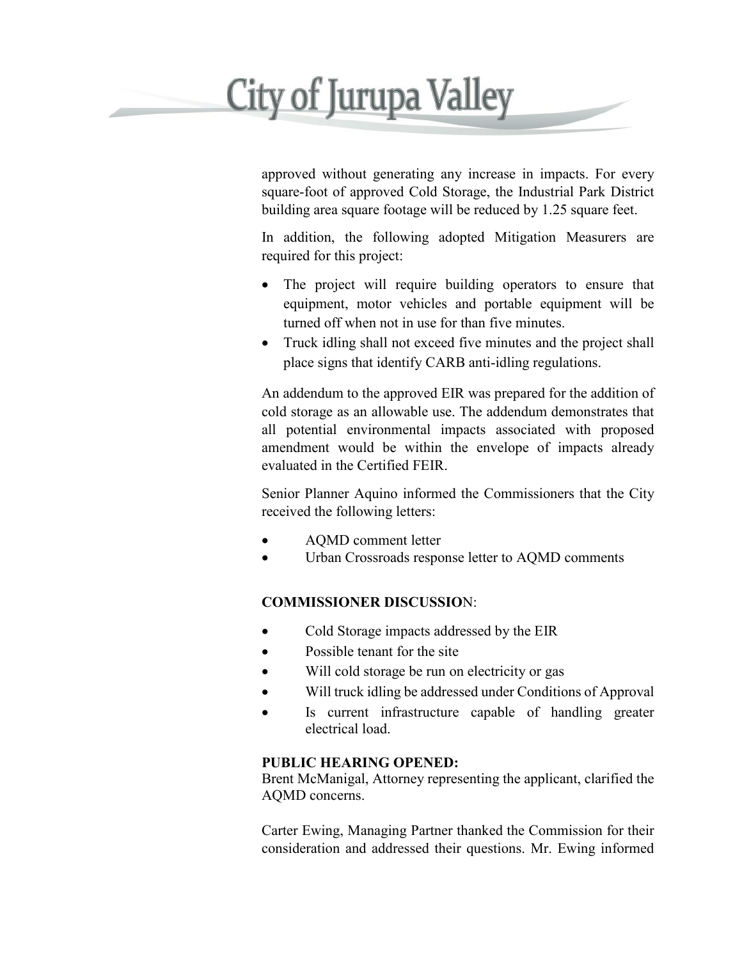## **City of Jurupa Valley**

approved without generating any increase in impacts. For every square-foot of approved Cold Storage, the Industrial Park District building area square footage will be reduced by 1.25 square feet.

In addition, the following adopted Mitigation Measurers are required for this project:

- The project will require building operators to ensure that equipment, motor vehicles and portable equipment will be turned off when not in use for than five minutes.
- Truck idling shall not exceed five minutes and the project shall place signs that identify CARB anti-idling regulations.

An addendum to the approved EIR was prepared for the addition of cold storage as an allowable use. The addendum demonstrates that all potential environmental impacts associated with proposed amendment would be within the envelope of impacts already evaluated in the Certified FEIR.

Senior Planner Aquino informed the Commissioners that the City received the following letters:

- AQMD comment letter
- Urban Crossroads response letter to AQMD comments

### **COMMISSIONER DISCUSSIO**N:

- Cold Storage impacts addressed by the EIR
- Possible tenant for the site
- Will cold storage be run on electricity or gas
- Will truck idling be addressed under Conditions of Approval
- Is current infrastructure capable of handling greater electrical load.

### **PUBLIC HEARING OPENED:**

Brent McManigal, Attorney representing the applicant, clarified the AQMD concerns.

Carter Ewing, Managing Partner thanked the Commission for their consideration and addressed their questions. Mr. Ewing informed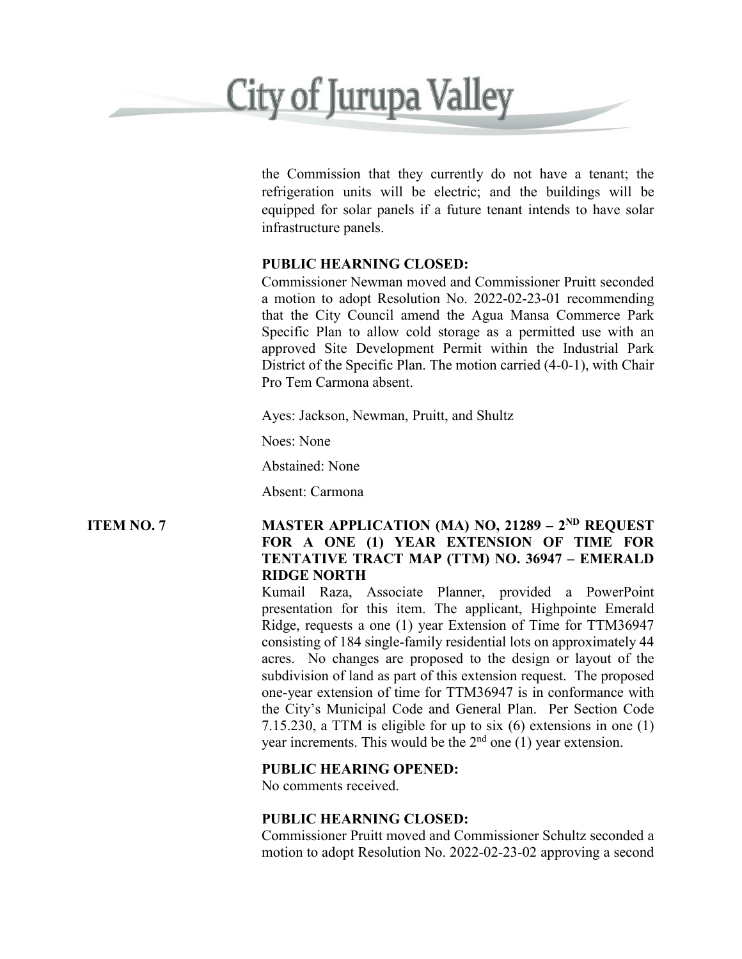## **City of Jurupa Valley**

the Commission that they currently do not have a tenant; the refrigeration units will be electric; and the buildings will be equipped for solar panels if a future tenant intends to have solar infrastructure panels.

#### **PUBLIC HEARNING CLOSED:**

Commissioner Newman moved and Commissioner Pruitt seconded a motion to adopt Resolution No. 2022-02-23-01 recommending that the City Council amend the Agua Mansa Commerce Park Specific Plan to allow cold storage as a permitted use with an approved Site Development Permit within the Industrial Park District of the Specific Plan. The motion carried (4-0-1), with Chair Pro Tem Carmona absent.

Ayes: Jackson, Newman, Pruitt, and Shultz

Noes: None

Abstained: None

Absent: Carmona

### **ITEM NO. 7 MASTER APPLICATION (MA) NO, 21289 – 2ND REQUEST FOR A ONE (1) YEAR EXTENSION OF TIME FOR TENTATIVE TRACT MAP (TTM) NO. 36947 – EMERALD RIDGE NORTH**

Kumail Raza, Associate Planner, provided a PowerPoint presentation for this item. The applicant, Highpointe Emerald Ridge, requests a one (1) year Extension of Time for TTM36947 consisting of 184 single-family residential lots on approximately 44 acres. No changes are proposed to the design or layout of the subdivision of land as part of this extension request. The proposed one-year extension of time for TTM36947 is in conformance with the City's Municipal Code and General Plan. Per Section Code 7.15.230, a TTM is eligible for up to six (6) extensions in one (1) year increments. This would be the  $2<sup>nd</sup>$  one (1) year extension.

### **PUBLIC HEARING OPENED:**

No comments received.

### **PUBLIC HEARNING CLOSED:**

Commissioner Pruitt moved and Commissioner Schultz seconded a motion to adopt Resolution No. 2022-02-23-02 approving a second